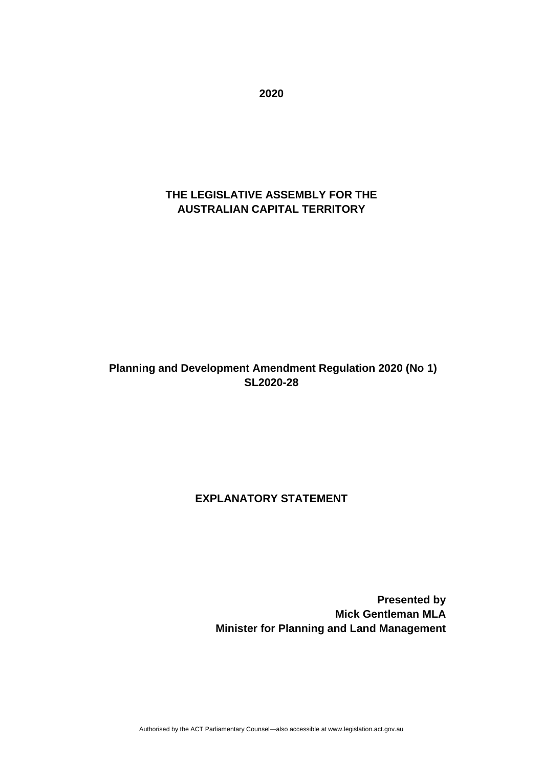**2020**

# **THE LEGISLATIVE ASSEMBLY FOR THE AUSTRALIAN CAPITAL TERRITORY**

# **Planning and Development Amendment Regulation 2020 (No 1) SL2020-28**

# **EXPLANATORY STATEMENT**

**Presented by Mick Gentleman MLA Minister for Planning and Land Management**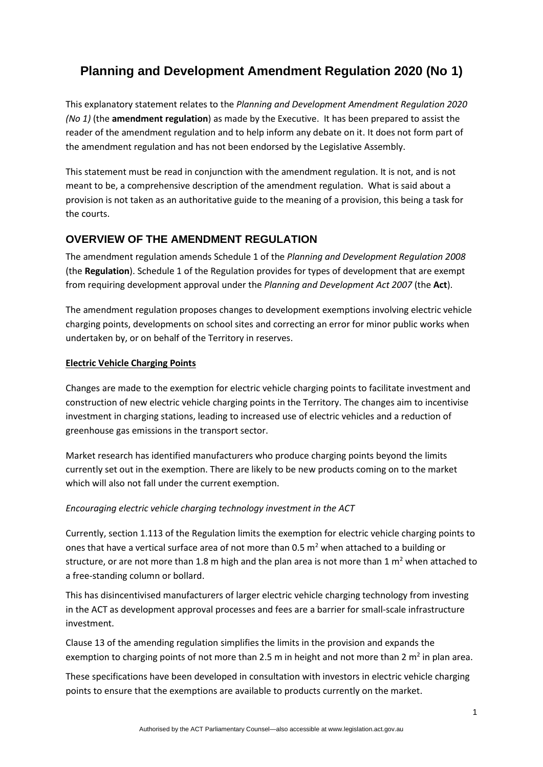# **Planning and Development Amendment Regulation 2020 (No 1)**

This explanatory statement relates to the *Planning and Development Amendment Regulation 2020 (No 1)* (the **amendment regulation**) as made by the Executive. It has been prepared to assist the reader of the amendment regulation and to help inform any debate on it. It does not form part of the amendment regulation and has not been endorsed by the Legislative Assembly.

This statement must be read in conjunction with the amendment regulation. It is not, and is not meant to be, a comprehensive description of the amendment regulation. What is said about a provision is not taken as an authoritative guide to the meaning of a provision, this being a task for the courts.

# **OVERVIEW OF THE AMENDMENT REGULATION**

The amendment regulation amends Schedule 1 of the *Planning and Development Regulation 2008* (the **Regulation**). Schedule 1 of the Regulation provides for types of development that are exempt from requiring development approval under the *Planning and Development Act 2007* (the **Act**).

The amendment regulation proposes changes to development exemptions involving electric vehicle charging points, developments on school sites and correcting an error for minor public works when undertaken by, or on behalf of the Territory in reserves.

#### **Electric Vehicle Charging Points**

Changes are made to the exemption for electric vehicle charging points to facilitate investment and construction of new electric vehicle charging points in the Territory. The changes aim to incentivise investment in charging stations, leading to increased use of electric vehicles and a reduction of greenhouse gas emissions in the transport sector.

Market research has identified manufacturers who produce charging points beyond the limits currently set out in the exemption. There are likely to be new products coming on to the market which will also not fall under the current exemption.

#### *Encouraging electric vehicle charging technology investment in the ACT*

Currently, section 1.113 of the Regulation limits the exemption for electric vehicle charging points to ones that have a vertical surface area of not more than 0.5  $m<sup>2</sup>$  when attached to a building or structure, or are not more than 1.8 m high and the plan area is not more than 1  $m<sup>2</sup>$  when attached to a free-standing column or bollard.

This has disincentivised manufacturers of larger electric vehicle charging technology from investing in the ACT as development approval processes and fees are a barrier for small-scale infrastructure investment.

Clause 13 of the amending regulation simplifies the limits in the provision and expands the exemption to charging points of not more than 2.5 m in height and not more than 2 m<sup>2</sup> in plan area.

These specifications have been developed in consultation with investors in electric vehicle charging points to ensure that the exemptions are available to products currently on the market.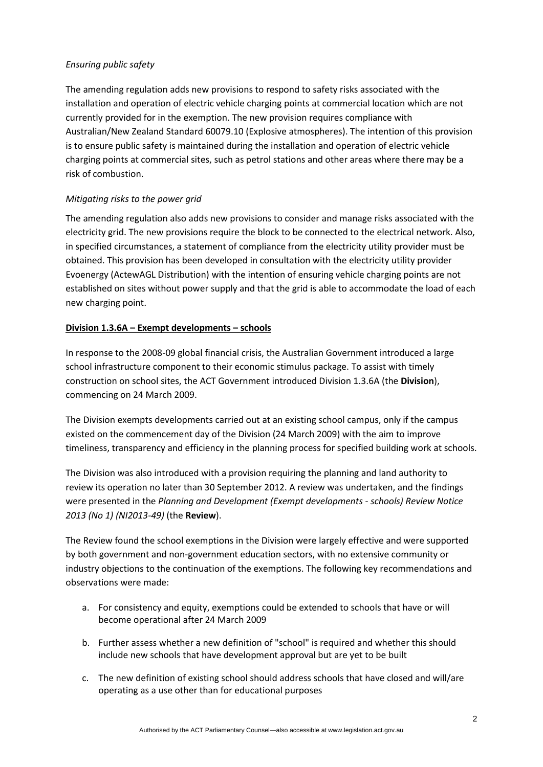#### *Ensuring public safety*

The amending regulation adds new provisions to respond to safety risks associated with the installation and operation of electric vehicle charging points at commercial location which are not currently provided for in the exemption. The new provision requires compliance with Australian/New Zealand Standard 60079.10 (Explosive atmospheres). The intention of this provision is to ensure public safety is maintained during the installation and operation of electric vehicle charging points at commercial sites, such as petrol stations and other areas where there may be a risk of combustion.

#### *Mitigating risks to the power grid*

The amending regulation also adds new provisions to consider and manage risks associated with the electricity grid. The new provisions require the block to be connected to the electrical network. Also, in specified circumstances, a statement of compliance from the electricity utility provider must be obtained. This provision has been developed in consultation with the electricity utility provider Evoenergy (ActewAGL Distribution) with the intention of ensuring vehicle charging points are not established on sites without power supply and that the grid is able to accommodate the load of each new charging point.

#### **Division 1.3.6A – Exempt developments – schools**

In response to the 2008-09 global financial crisis, the Australian Government introduced a large school infrastructure component to their economic stimulus package. To assist with timely construction on school sites, the ACT Government introduced Division 1.3.6A (the **Division**), commencing on 24 March 2009.

The Division exempts developments carried out at an existing school campus, only if the campus existed on the commencement day of the Division (24 March 2009) with the aim to improve timeliness, transparency and efficiency in the planning process for specified building work at schools.

The Division was also introduced with a provision requiring the planning and land authority to review its operation no later than 30 September 2012. A review was undertaken, and the findings were presented in the *Planning and Development (Exempt developments* - *schools) Review Notice 2013 (No 1) (NI2013-49)* (the **Review**).

The Review found the school exemptions in the Division were largely effective and were supported by both government and non-government education sectors, with no extensive community or industry objections to the continuation of the exemptions. The following key recommendations and observations were made:

- a. For consistency and equity, exemptions could be extended to schools that have or will become operational after 24 March 2009
- b. Further assess whether a new definition of "school" is required and whether this should include new schools that have development approval but are yet to be built
- c. The new definition of existing school should address schools that have closed and will/are operating as a use other than for educational purposes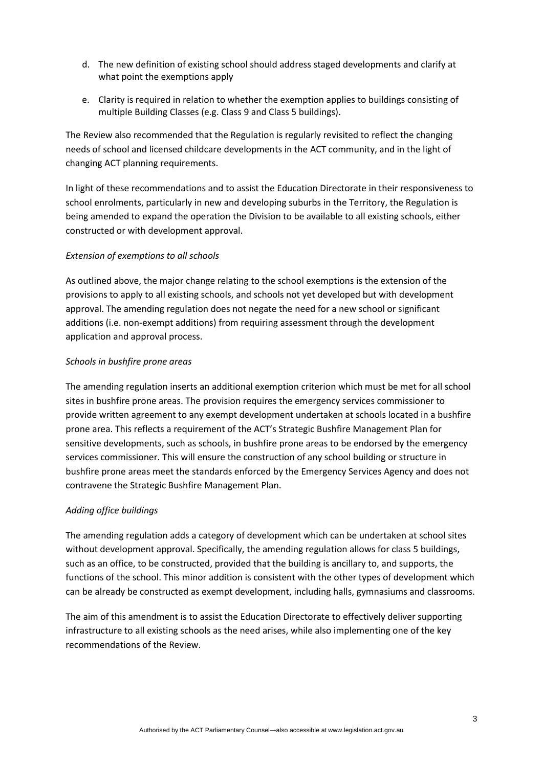- d. The new definition of existing school should address staged developments and clarify at what point the exemptions apply
- e. Clarity is required in relation to whether the exemption applies to buildings consisting of multiple Building Classes (e.g. Class 9 and Class 5 buildings).

The Review also recommended that the Regulation is regularly revisited to reflect the changing needs of school and licensed childcare developments in the ACT community, and in the light of changing ACT planning requirements.

In light of these recommendations and to assist the Education Directorate in their responsiveness to school enrolments, particularly in new and developing suburbs in the Territory, the Regulation is being amended to expand the operation the Division to be available to all existing schools, either constructed or with development approval.

#### *Extension of exemptions to all schools*

As outlined above, the major change relating to the school exemptions is the extension of the provisions to apply to all existing schools, and schools not yet developed but with development approval. The amending regulation does not negate the need for a new school or significant additions (i.e. non-exempt additions) from requiring assessment through the development application and approval process.

#### *Schools in bushfire prone areas*

The amending regulation inserts an additional exemption criterion which must be met for all school sites in bushfire prone areas. The provision requires the emergency services commissioner to provide written agreement to any exempt development undertaken at schools located in a bushfire prone area. This reflects a requirement of the ACT's Strategic Bushfire Management Plan for sensitive developments, such as schools, in bushfire prone areas to be endorsed by the emergency services commissioner. This will ensure the construction of any school building or structure in bushfire prone areas meet the standards enforced by the Emergency Services Agency and does not contravene the Strategic Bushfire Management Plan.

#### *Adding office buildings*

The amending regulation adds a category of development which can be undertaken at school sites without development approval. Specifically, the amending regulation allows for class 5 buildings, such as an office, to be constructed, provided that the building is ancillary to, and supports, the functions of the school. This minor addition is consistent with the other types of development which can be already be constructed as exempt development, including halls, gymnasiums and classrooms.

The aim of this amendment is to assist the Education Directorate to effectively deliver supporting infrastructure to all existing schools as the need arises, while also implementing one of the key recommendations of the Review.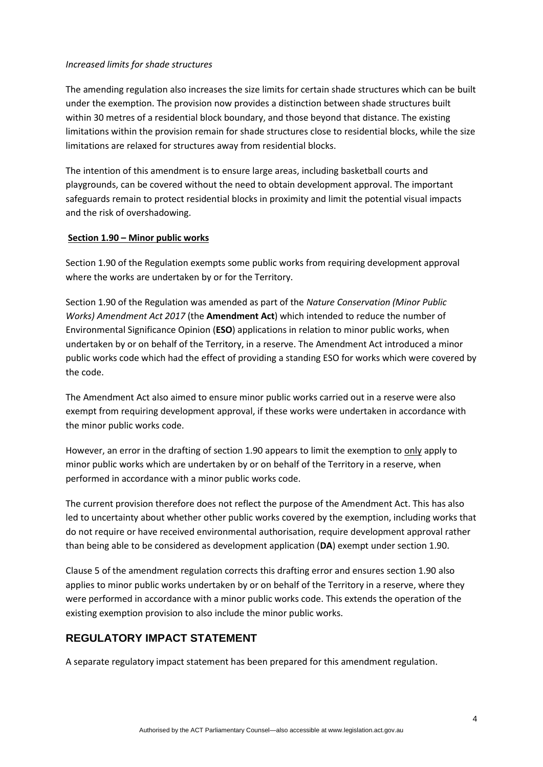#### *Increased limits for shade structures*

The amending regulation also increases the size limits for certain shade structures which can be built under the exemption. The provision now provides a distinction between shade structures built within 30 metres of a residential block boundary, and those beyond that distance. The existing limitations within the provision remain for shade structures close to residential blocks, while the size limitations are relaxed for structures away from residential blocks.

The intention of this amendment is to ensure large areas, including basketball courts and playgrounds, can be covered without the need to obtain development approval. The important safeguards remain to protect residential blocks in proximity and limit the potential visual impacts and the risk of overshadowing.

#### **Section 1.90 – Minor public works**

Section 1.90 of the Regulation exempts some public works from requiring development approval where the works are undertaken by or for the Territory.

Section 1.90 of the Regulation was amended as part of the *Nature Conservation (Minor Public Works) Amendment Act 2017* (the **Amendment Act**) which intended to reduce the number of Environmental Significance Opinion (**ESO**) applications in relation to minor public works, when undertaken by or on behalf of the Territory, in a reserve. The Amendment Act introduced a minor public works code which had the effect of providing a standing ESO for works which were covered by the code.

The Amendment Act also aimed to ensure minor public works carried out in a reserve were also exempt from requiring development approval, if these works were undertaken in accordance with the minor public works code.

However, an error in the drafting of section 1.90 appears to limit the exemption to only apply to minor public works which are undertaken by or on behalf of the Territory in a reserve, when performed in accordance with a minor public works code.

The current provision therefore does not reflect the purpose of the Amendment Act. This has also led to uncertainty about whether other public works covered by the exemption, including works that do not require or have received environmental authorisation, require development approval rather than being able to be considered as development application (**DA**) exempt under section 1.90.

Clause 5 of the amendment regulation corrects this drafting error and ensures section 1.90 also applies to minor public works undertaken by or on behalf of the Territory in a reserve, where they were performed in accordance with a minor public works code. This extends the operation of the existing exemption provision to also include the minor public works.

#### **REGULATORY IMPACT STATEMENT**

A separate regulatory impact statement has been prepared for this amendment regulation.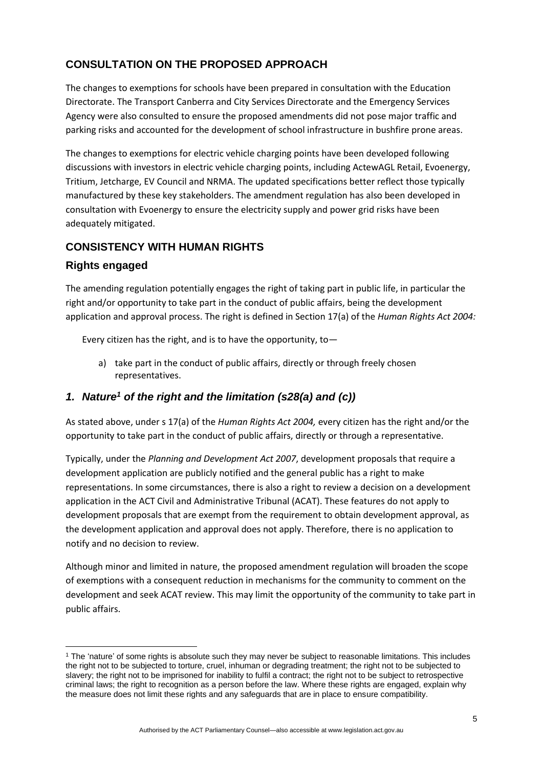# **CONSULTATION ON THE PROPOSED APPROACH**

The changes to exemptions for schools have been prepared in consultation with the Education Directorate. The Transport Canberra and City Services Directorate and the Emergency Services Agency were also consulted to ensure the proposed amendments did not pose major traffic and parking risks and accounted for the development of school infrastructure in bushfire prone areas.

The changes to exemptions for electric vehicle charging points have been developed following discussions with investors in electric vehicle charging points, including ActewAGL Retail, Evoenergy, Tritium, Jetcharge, EV Council and NRMA. The updated specifications better reflect those typically manufactured by these key stakeholders. The amendment regulation has also been developed in consultation with Evoenergy to ensure the electricity supply and power grid risks have been adequately mitigated.

### **CONSISTENCY WITH HUMAN RIGHTS**

### **Rights engaged**

The amending regulation potentially engages the right of taking part in public life, in particular the right and/or opportunity to take part in the conduct of public affairs, being the development application and approval process. The right is defined in Section 17(a) of the *Human Rights Act 2004:*

Every citizen has the right, and is to have the opportunity, to  $-$ 

a) take part in the conduct of public affairs, directly or through freely chosen representatives.

# *1. Nature<sup>1</sup> of the right and the limitation (s28(a) and (c))*

As stated above, under s 17(a) of the *Human Rights Act 2004,* every citizen has the right and/or the opportunity to take part in the conduct of public affairs, directly or through a representative.

Typically, under the *Planning and Development Act 2007*, development proposals that require a development application are publicly notified and the general public has a right to make representations. In some circumstances, there is also a right to review a decision on a development application in the ACT Civil and Administrative Tribunal (ACAT). These features do not apply to development proposals that are exempt from the requirement to obtain development approval, as the development application and approval does not apply. Therefore, there is no application to notify and no decision to review.

Although minor and limited in nature, the proposed amendment regulation will broaden the scope of exemptions with a consequent reduction in mechanisms for the community to comment on the development and seek ACAT review. This may limit the opportunity of the community to take part in public affairs.

<sup>&</sup>lt;sup>1</sup> The 'nature' of some rights is absolute such they may never be subject to reasonable limitations. This includes the right not to be subjected to torture, cruel, inhuman or degrading treatment; the right not to be subjected to slavery; the right not to be imprisoned for inability to fulfil a contract; the right not to be subject to retrospective criminal laws; the right to recognition as a person before the law. Where these rights are engaged, explain why the measure does not limit these rights and any safeguards that are in place to ensure compatibility.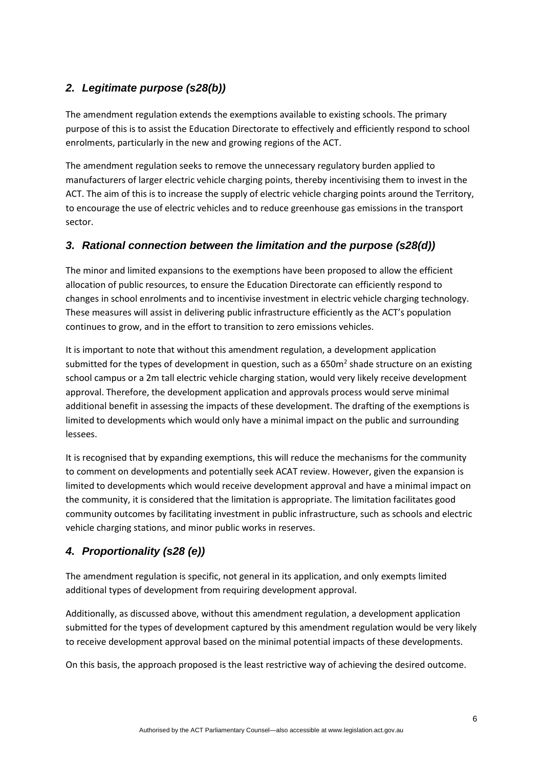# *2. Legitimate purpose (s28(b))*

The amendment regulation extends the exemptions available to existing schools. The primary purpose of this is to assist the Education Directorate to effectively and efficiently respond to school enrolments, particularly in the new and growing regions of the ACT.

The amendment regulation seeks to remove the unnecessary regulatory burden applied to manufacturers of larger electric vehicle charging points, thereby incentivising them to invest in the ACT. The aim of this is to increase the supply of electric vehicle charging points around the Territory, to encourage the use of electric vehicles and to reduce greenhouse gas emissions in the transport sector.

# *3. Rational connection between the limitation and the purpose (s28(d))*

The minor and limited expansions to the exemptions have been proposed to allow the efficient allocation of public resources, to ensure the Education Directorate can efficiently respond to changes in school enrolments and to incentivise investment in electric vehicle charging technology. These measures will assist in delivering public infrastructure efficiently as the ACT's population continues to grow, and in the effort to transition to zero emissions vehicles.

It is important to note that without this amendment regulation, a development application submitted for the types of development in question, such as a 650 $m<sup>2</sup>$  shade structure on an existing school campus or a 2m tall electric vehicle charging station, would very likely receive development approval. Therefore, the development application and approvals process would serve minimal additional benefit in assessing the impacts of these development. The drafting of the exemptions is limited to developments which would only have a minimal impact on the public and surrounding lessees.

It is recognised that by expanding exemptions, this will reduce the mechanisms for the community to comment on developments and potentially seek ACAT review. However, given the expansion is limited to developments which would receive development approval and have a minimal impact on the community, it is considered that the limitation is appropriate. The limitation facilitates good community outcomes by facilitating investment in public infrastructure, such as schools and electric vehicle charging stations, and minor public works in reserves.

# *4. Proportionality (s28 (e))*

The amendment regulation is specific, not general in its application, and only exempts limited additional types of development from requiring development approval.

Additionally, as discussed above, without this amendment regulation, a development application submitted for the types of development captured by this amendment regulation would be very likely to receive development approval based on the minimal potential impacts of these developments.

On this basis, the approach proposed is the least restrictive way of achieving the desired outcome.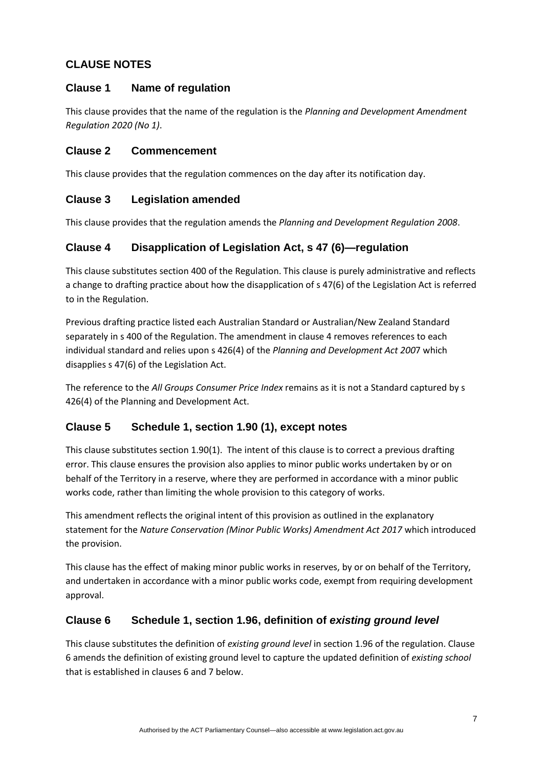# **CLAUSE NOTES**

### **Clause 1 Name of regulation**

This clause provides that the name of the regulation is the *Planning and Development Amendment Regulation 2020 (No 1)*.

### **Clause 2 Commencement**

This clause provides that the regulation commences on the day after its notification day.

# **Clause 3 Legislation amended**

This clause provides that the regulation amends the *Planning and Development Regulation 2008*.

# **Clause 4 Disapplication of Legislation Act, s 47 (6)—regulation**

This clause substitutes section 400 of the Regulation. This clause is purely administrative and reflects a change to drafting practice about how the disapplication of s 47(6) of the Legislation Act is referred to in the Regulation.

Previous drafting practice listed each Australian Standard or Australian/New Zealand Standard separately in s 400 of the Regulation. The amendment in clause 4 removes references to each individual standard and relies upon s 426(4) of the *Planning and Development Act 200*7 which disapplies s 47(6) of the Legislation Act.

The reference to the *All Groups Consumer Price Index* remains as it is not a Standard captured by s 426(4) of the Planning and Development Act.

# **Clause 5 Schedule 1, section 1.90 (1), except notes**

This clause substitutes section 1.90(1). The intent of this clause is to correct a previous drafting error. This clause ensures the provision also applies to minor public works undertaken by or on behalf of the Territory in a reserve, where they are performed in accordance with a minor public works code, rather than limiting the whole provision to this category of works.

This amendment reflects the original intent of this provision as outlined in the explanatory statement for the *Nature Conservation (Minor Public Works) Amendment Act 2017* which introduced the provision.

This clause has the effect of making minor public works in reserves, by or on behalf of the Territory, and undertaken in accordance with a minor public works code, exempt from requiring development approval.

# **Clause 6 Schedule 1, section 1.96, definition of** *existing ground level*

This clause substitutes the definition of *existing ground level* in section 1.96 of the regulation. Clause 6 amends the definition of existing ground level to capture the updated definition of *existing school*  that is established in clauses 6 and 7 below.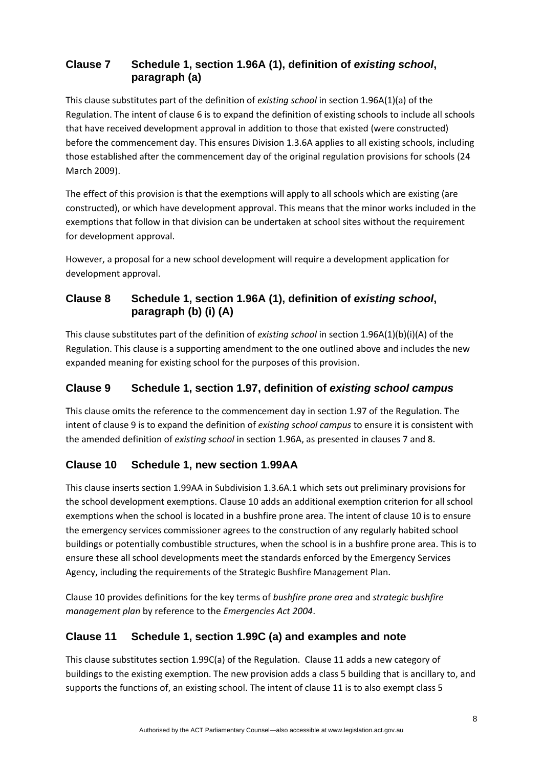# **Clause 7 Schedule 1, section 1.96A (1), definition of** *existing school***, paragraph (a)**

This clause substitutes part of the definition of *existing school* in section 1.96A(1)(a) of the Regulation. The intent of clause 6 is to expand the definition of existing schools to include all schools that have received development approval in addition to those that existed (were constructed) before the commencement day. This ensures Division 1.3.6A applies to all existing schools, including those established after the commencement day of the original regulation provisions for schools (24 March 2009).

The effect of this provision is that the exemptions will apply to all schools which are existing (are constructed), or which have development approval. This means that the minor works included in the exemptions that follow in that division can be undertaken at school sites without the requirement for development approval.

However, a proposal for a new school development will require a development application for development approval.

# **Clause 8 Schedule 1, section 1.96A (1), definition of** *existing school***, paragraph (b) (i) (A)**

This clause substitutes part of the definition of *existing school* in section 1.96A(1)(b)(i)(A) of the Regulation. This clause is a supporting amendment to the one outlined above and includes the new expanded meaning for existing school for the purposes of this provision.

# **Clause 9 Schedule 1, section 1.97, definition of** *existing school campus*

This clause omits the reference to the commencement day in section 1.97 of the Regulation. The intent of clause 9 is to expand the definition of *existing school campus* to ensure it is consistent with the amended definition of *existing school* in section 1.96A, as presented in clauses 7 and 8.

# **Clause 10 Schedule 1, new section 1.99AA**

This clause inserts section 1.99AA in Subdivision 1.3.6A.1 which sets out preliminary provisions for the school development exemptions. Clause 10 adds an additional exemption criterion for all school exemptions when the school is located in a bushfire prone area. The intent of clause 10 is to ensure the emergency services commissioner agrees to the construction of any regularly habited school buildings or potentially combustible structures, when the school is in a bushfire prone area. This is to ensure these all school developments meet the standards enforced by the Emergency Services Agency, including the requirements of the Strategic Bushfire Management Plan.

Clause 10 provides definitions for the key terms of *bushfire prone area* and *strategic bushfire management plan* by reference to the *Emergencies Act 2004*.

# **Clause 11 Schedule 1, section 1.99C (a) and examples and note**

This clause substitutes section 1.99C(a) of the Regulation. Clause 11 adds a new category of buildings to the existing exemption. The new provision adds a class 5 building that is ancillary to, and supports the functions of, an existing school. The intent of clause 11 is to also exempt class 5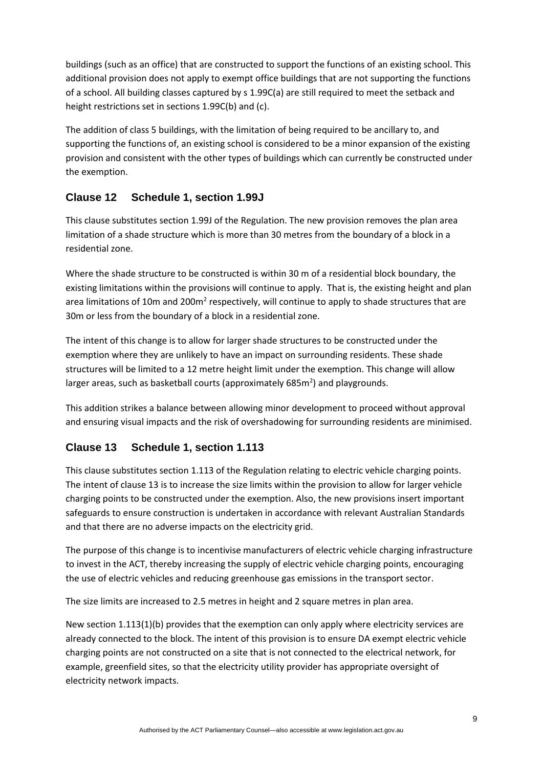buildings (such as an office) that are constructed to support the functions of an existing school. This additional provision does not apply to exempt office buildings that are not supporting the functions of a school. All building classes captured by s 1.99C(a) are still required to meet the setback and height restrictions set in sections 1.99C(b) and (c).

The addition of class 5 buildings, with the limitation of being required to be ancillary to, and supporting the functions of, an existing school is considered to be a minor expansion of the existing provision and consistent with the other types of buildings which can currently be constructed under the exemption.

# **Clause 12 Schedule 1, section 1.99J**

This clause substitutes section 1.99J of the Regulation. The new provision removes the plan area limitation of a shade structure which is more than 30 metres from the boundary of a block in a residential zone.

Where the shade structure to be constructed is within 30 m of a residential block boundary, the existing limitations within the provisions will continue to apply. That is, the existing height and plan area limitations of 10m and 200m<sup>2</sup> respectively, will continue to apply to shade structures that are 30m or less from the boundary of a block in a residential zone.

The intent of this change is to allow for larger shade structures to be constructed under the exemption where they are unlikely to have an impact on surrounding residents. These shade structures will be limited to a 12 metre height limit under the exemption. This change will allow larger areas, such as basketball courts (approximately  $685m<sup>2</sup>$ ) and playgrounds.

This addition strikes a balance between allowing minor development to proceed without approval and ensuring visual impacts and the risk of overshadowing for surrounding residents are minimised.

# **Clause 13 Schedule 1, section 1.113**

This clause substitutes section 1.113 of the Regulation relating to electric vehicle charging points. The intent of clause 13 is to increase the size limits within the provision to allow for larger vehicle charging points to be constructed under the exemption. Also, the new provisions insert important safeguards to ensure construction is undertaken in accordance with relevant Australian Standards and that there are no adverse impacts on the electricity grid.

The purpose of this change is to incentivise manufacturers of electric vehicle charging infrastructure to invest in the ACT, thereby increasing the supply of electric vehicle charging points, encouraging the use of electric vehicles and reducing greenhouse gas emissions in the transport sector.

The size limits are increased to 2.5 metres in height and 2 square metres in plan area.

New section 1.113(1)(b) provides that the exemption can only apply where electricity services are already connected to the block. The intent of this provision is to ensure DA exempt electric vehicle charging points are not constructed on a site that is not connected to the electrical network, for example, greenfield sites, so that the electricity utility provider has appropriate oversight of electricity network impacts.